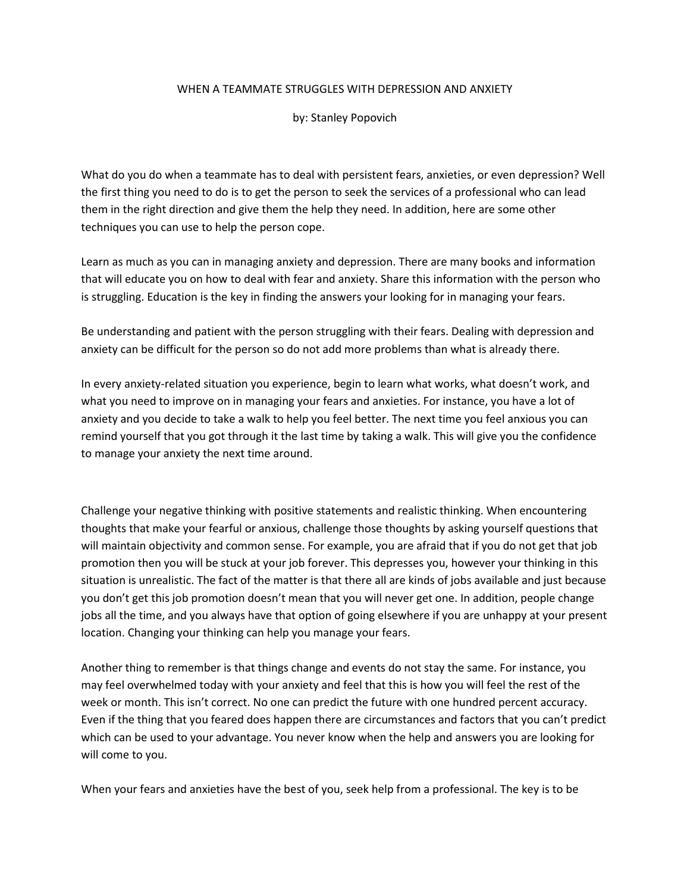## WHEN A TEAMMATE STRUGGLES WITH DEPRESSION AND ANXIETY

by: Stanley Popovich

What do you do when a teammate has to deal with persistent fears, anxieties, or even depression? Well the first thing you need to do is to get the person to seek the services of a professional who can lead them in the right direction and give them the help they need. In addition, here are some other techniques you can use to help the person cope.

Learn as much as you can in managing anxiety and depression. There are many books and information that will educate you on how to deal with fear and anxiety. Share this information with the person who is struggling. Education is the key in finding the answers your looking for in managing your fears.

Be understanding and patient with the person struggling with their fears. Dealing with depression and anxiety can be difficult for the person so do not add more problems than what is already there.

In every anxiety-related situation you experience, begin to learn what works, what doesn't work, and what you need to improve on in managing your fears and anxieties. For instance, you have a lot of anxiety and you decide to take a walk to help you feel better. The next time you feel anxious you can remind yourself that you got through it the last time by taking a walk. This will give you the confidence to manage your anxiety the next time around.

Challenge your negative thinking with positive statements and realistic thinking. When encountering thoughts that make your fearful or anxious, challenge those thoughts by asking yourself questions that will maintain objectivity and common sense. For example, you are afraid that if you do not get that job promotion then you will be stuck at your job forever. This depresses you, however your thinking in this situation is unrealistic. The fact of the matter is that there all are kinds of jobs available and just because you don't get this job promotion doesn't mean that you will never get one. In addition, people change jobs all the time, and you always have that option of going elsewhere if you are unhappy at your present location. Changing your thinking can help you manage your fears.

Another thing to remember is that things change and events do not stay the same. For instance, you may feel overwhelmed today with your anxiety and feel that this is how you will feel the rest of the week or month. This isn't correct. No one can predict the future with one hundred percent accuracy. Even if the thing that you feared does happen there are circumstances and factors that you can't predict which can be used to your advantage. You never know when the help and answers you are looking for will come to you.

When your fears and anxieties have the best of you, seek help from a professional. The key is to be